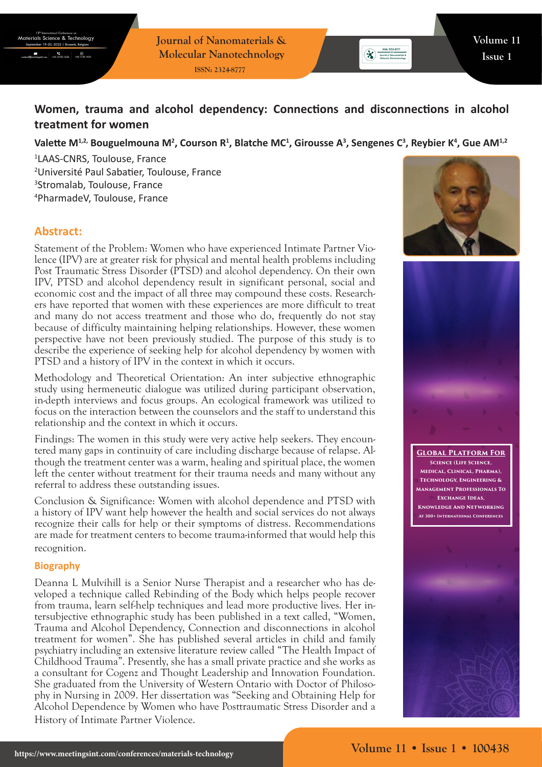**Journal of Nanomaterials & Molecular Nanotechnology ISSN: 2324-8777**

# **Women, trauma and alcohol dependency: Connections and disconnections in alcohol treatment for women**

## Valette M<sup>1,2,</sup> Bouguelmouna M<sup>2</sup>, Courson R<sup>1</sup>, Blatche MC<sup>1</sup>, Girousse A<sup>3</sup>, Sengenes C<sup>3</sup>, Reybier K<sup>4</sup>, Gue AM<sup>1,2</sup>

 LAAS-CNRS, Toulouse, France Université Paul Sabatier, Toulouse, France Stromalab, Toulouse, France PharmadeV, Toulouse, France

## **Abstract:**

Statement of the Problem: Women who have experienced Intimate Partner Violence (IPV) are at greater risk for physical and mental health problems including Post Traumatic Stress Disorder (PTSD) and alcohol dependency. On their own IPV, PTSD and alcohol dependency result in significant personal, social and economic cost and the impact of all three may compound these costs. Researchers have reported that women with these experiences are more difficult to treat and many do not access treatment and those who do, frequently do not stay because of difficulty maintaining helping relationships. However, these women perspective have not been previously studied. The purpose of this study is to describe the experience of seeking help for alcohol dependency by women with PTSD and a history of IPV in the context in which it occurs.

Methodology and Theoretical Orientation: An inter subjective ethnographic study using hermeneutic dialogue was utilized during participant observation, in-depth interviews and focus groups. An ecological framework was utilized to focus on the interaction between the counselors and the staff to understand this relationship and the context in which it occurs.

Findings: The women in this study were very active help seekers. They encountered many gaps in continuity of care including discharge because of relapse. Although the treatment center was a warm, healing and spiritual place, the women left the center without treatment for their trauma needs and many without any referral to address these outstanding issues.

Conclusion & Significance: Women with alcohol dependence and PTSD with a history of IPV want help however the health and social services do not always recognize their calls for help or their symptoms of distress. Recommendations are made for treatment centers to become trauma-informed that would help this recognition.

#### **Biography**

Deanna L Mulvihill is a Senior Nurse Therapist and a researcher who has developed a technique called Rebinding of the Body which helps people recover from trauma, learn self-help techniques and lead more productive lives. Her intersubjective ethnographic study has been published in a text called, "Women, Trauma and Alcohol Dependency, Connection and disconnections in alcohol treatment for women". She has published several articles in child and family psychiatry including an extensive literature review called "The Health Impact of Childhood Trauma". Presently, she has a small private practice and she works as a consultant for Cogenz and Thought Leadership and Innovation Foundation. She graduated from the University of Western Ontario with Doctor of Philosophy in Nursing in 2009. Her dissertation was "Seeking and Obtaining Help for Alcohol Dependence by Women who have Posttraumatic Stress Disorder and a History of Intimate Partner Violence.



**ESN: 2324-8777**<br>
X<br> **Algorized of Nenomaterials &**<br> **Molecular Nenotechnology**